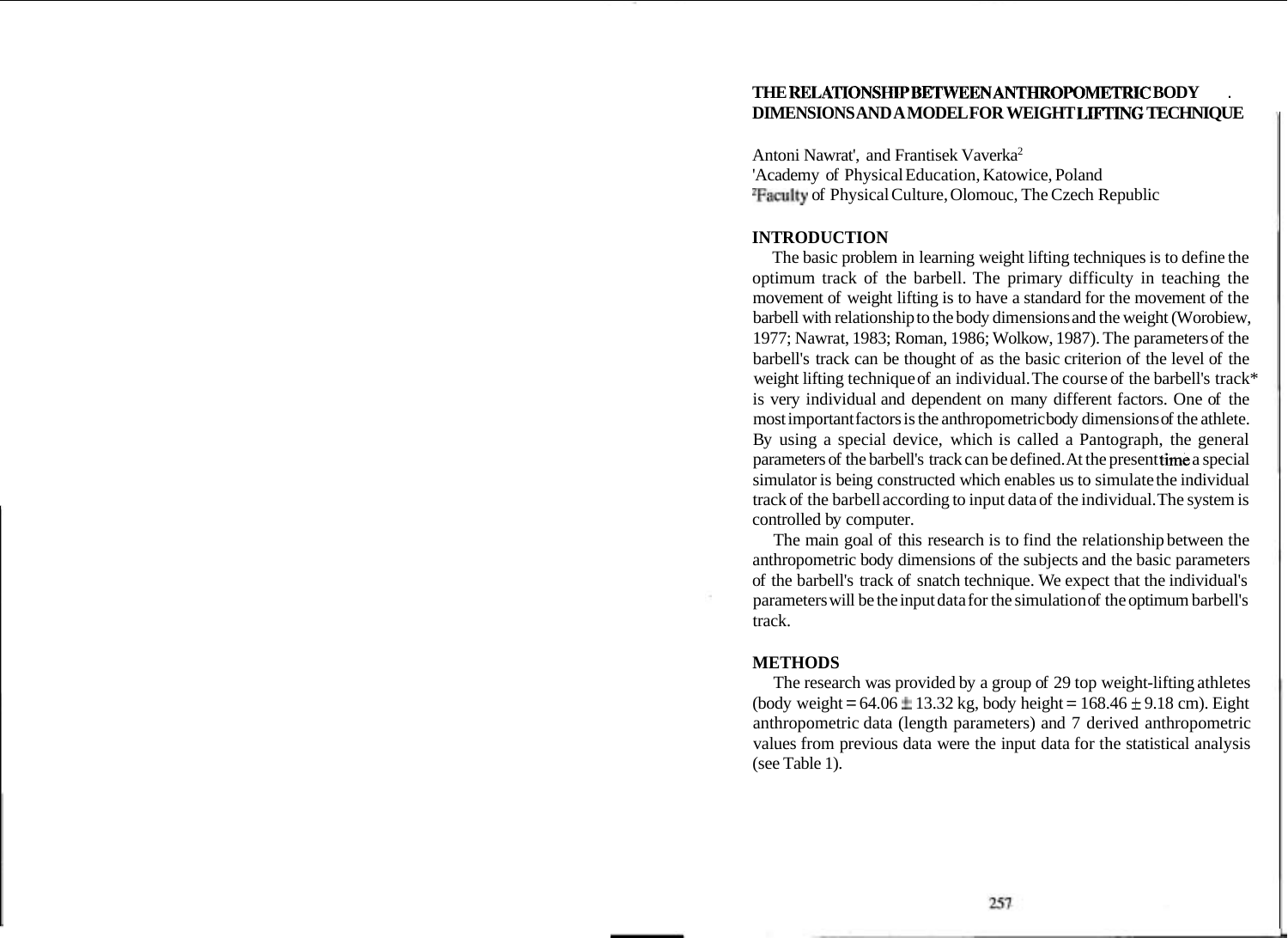## **THE RELATIONSHIPBETWEEN ANTHROPOMETRIC BODY** . **DIMENSIONS AND A MODEL FOR WEIGHT LIFTING TECHNIQUE**

Antoni Nawrat', and Frantisek Vaverka2 'Academy of Physical Education, Katowice, Poland 2Faculty of Physical Culture, Olomouc, The Czech Republic

### **INTRODUCTION**

The basic problem in learning weight lifting techniques is to define the optimum track of the barbell. The primary difficulty in teaching the movement of weight lifting is to have a standard for the movement of the barbell with relationship to the body dimensions and the weight (Worobiew, 1977; Nawrat, 1983; Roman, 1986; Wolkow, 1987). The parameters of the barbell's track can be thought of as the basic criterion of the level of the weight lifting technique of an individual. The course of the barbell's track\* is very individual and dependent on many different factors. One of the most important factors is the anthropometric body dimensions of the athlete. By using a special device, which is called a Pantograph, the general parameters of the barbell's track can be defined. At the present time a special simulator is being constructed which enables us to simulate the individual track of the barbell according to input data of the individual. The system is controlled by computer.

The main goal of this research is to find the relationship between the anthropometric body dimensions of the subjects and the basic parameters of the barbell's track of snatch technique. We expect that the individual's parameters will be the input data for the simulation of the optimum barbell's track.

#### **METHODS**

The research was provided by a group of 29 top weight-lifting athletes (body weight =  $64.06 \pm 13.32$  kg, body height =  $168.46 \pm 9.18$  cm). Eight anthropometric data (length parameters) and 7 derived anthropometric values from previous data were the input data for the statistical analysis (see Table 1).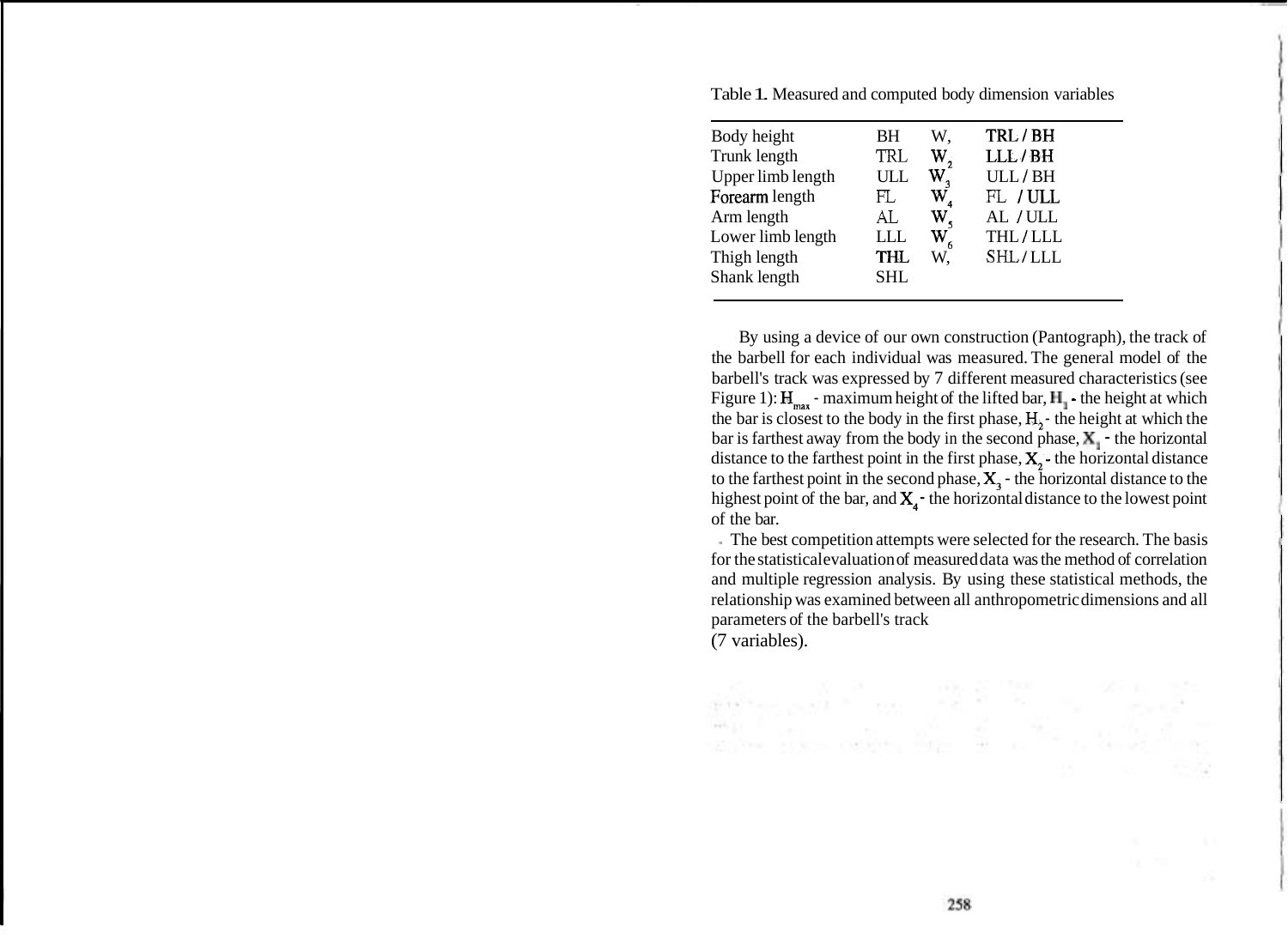| Body height       | BH         | W.                      | TRL/BH   |
|-------------------|------------|-------------------------|----------|
| Trunk length      | TRL        | W,                      | LLL/BH   |
| Upper limb length | ULL        | W,                      | ULL/BH   |
| Forearm length    | FL         | $\mathrm{W}_\mathrm{z}$ | FL / ULL |
| Arm length        | AL         | $\mathbf{W}_{\epsilon}$ | AL / ULL |
| Lower limb length | LLL        | $\mathbf{W}_{_{6}}$     | THL/LLL  |
| Thigh length      | THL        | W.                      | SHL/LLL  |
| Shank length      | <b>SHL</b> |                         |          |
|                   |            |                         |          |

Table 1. Measured and computed body dimension variables

By using a device of our own construction (Pantograph), the track of the barbell for each individual was measured. The general model of the barbell's track was expressed by 7 different measured characteristics (see Figure 1):  $H_{max}$  - maximum height of the lifted bar,  $H_1$  - the height at which the bar is closest to the body in the first phase,  $H_3$  - the height at which the bar is farthest away from the body in the second phase,  $X_1$  - the horizontal distance to the farthest point in the first phase,  $X$ , - the horizontal distance to the farthest point in the second phase,  $X_3$  - the horizontal distance to the highest point of the bar, and  $X_4$ -the horizontal distance to the lowest point of the bar.

- The best competition attempts were selected for the research. The basis for the statistical evaluation of measured data was the method of correlation and multiple regression analysis. By using these statistical methods, the relationship was examined between all anthropometric dimensions and all parameters of the barbell's track (7 variables).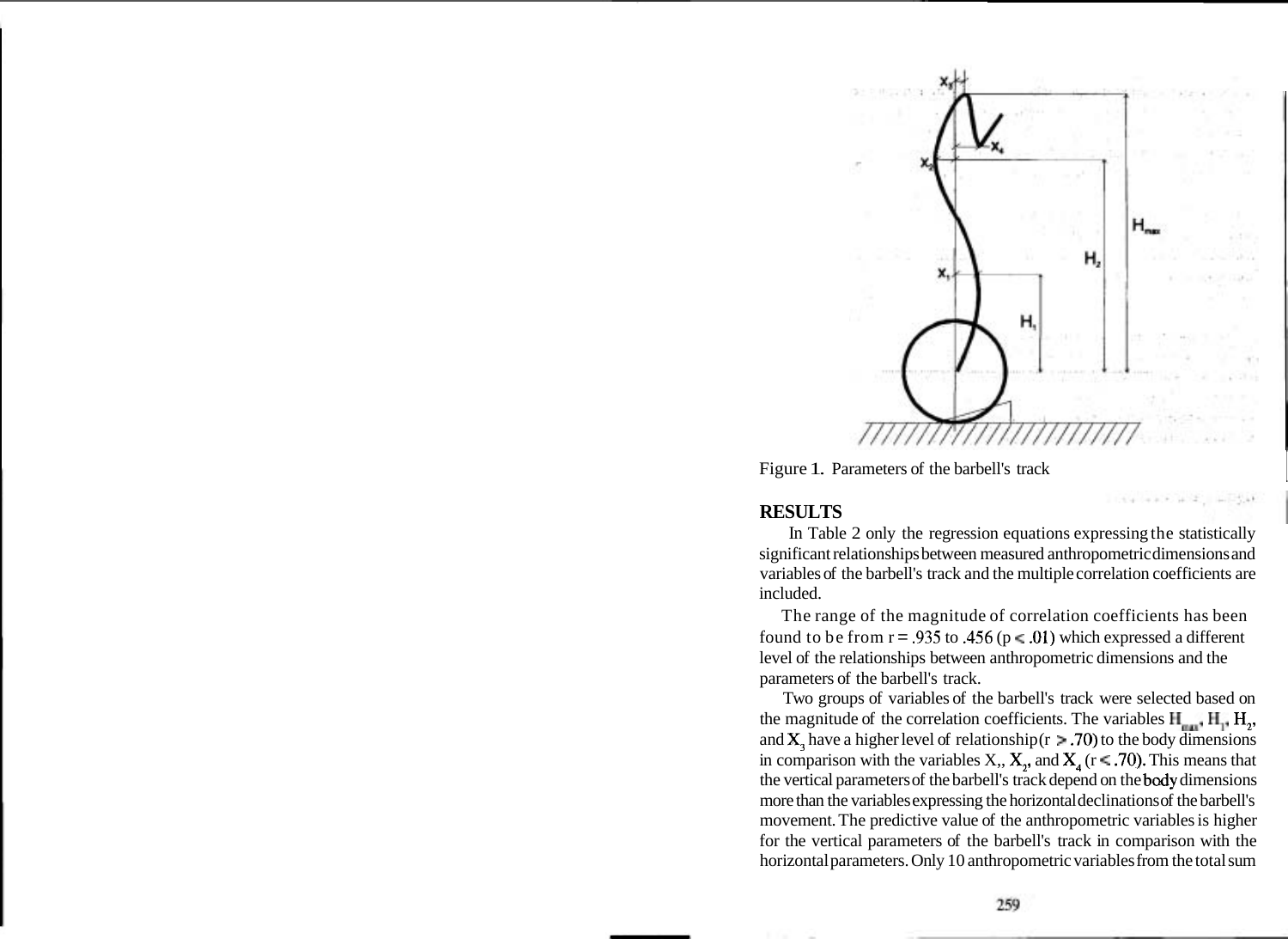

NEWS WARD INTERNATIONAL

Figure 1. Parameters of the barbell's track

# **RESULTS**

In Table 2 only the regression equations expressing the statistically significant relationships between measured anthropometric dimensions and variables of the barbell's track and the multiple correlation coefficients are included.

The range of the magnitude of correlation coefficients has been found to be from  $r = .935$  to  $.456$  ( $p \le .01$ ) which expressed a different level of the relationships between anthropometric dimensions and the parameters of the barbell's track.

Two groups of variables of the barbell's track were selected based on the magnitude of the correlation coefficients. The variables  $H_{mn}$ ,  $H_{1}$ ,  $H_{2}$ , and  $X_1$  have a higher level of relationship ( $r > .70$ ) to the body dimensions in comparison with the variables X,,  $X_2$ , and  $X_4$  (r < .70). This means that the vertical parameters of the barbell's track depend on the bady dimensions more than the variables expressing the horizontal declinations of the barbell's movement. The predictive value of the anthropometric variables is higher for the vertical parameters of the barbell's track in comparison with the horizontal parameters. Only 10 anthropometric variables from the total sum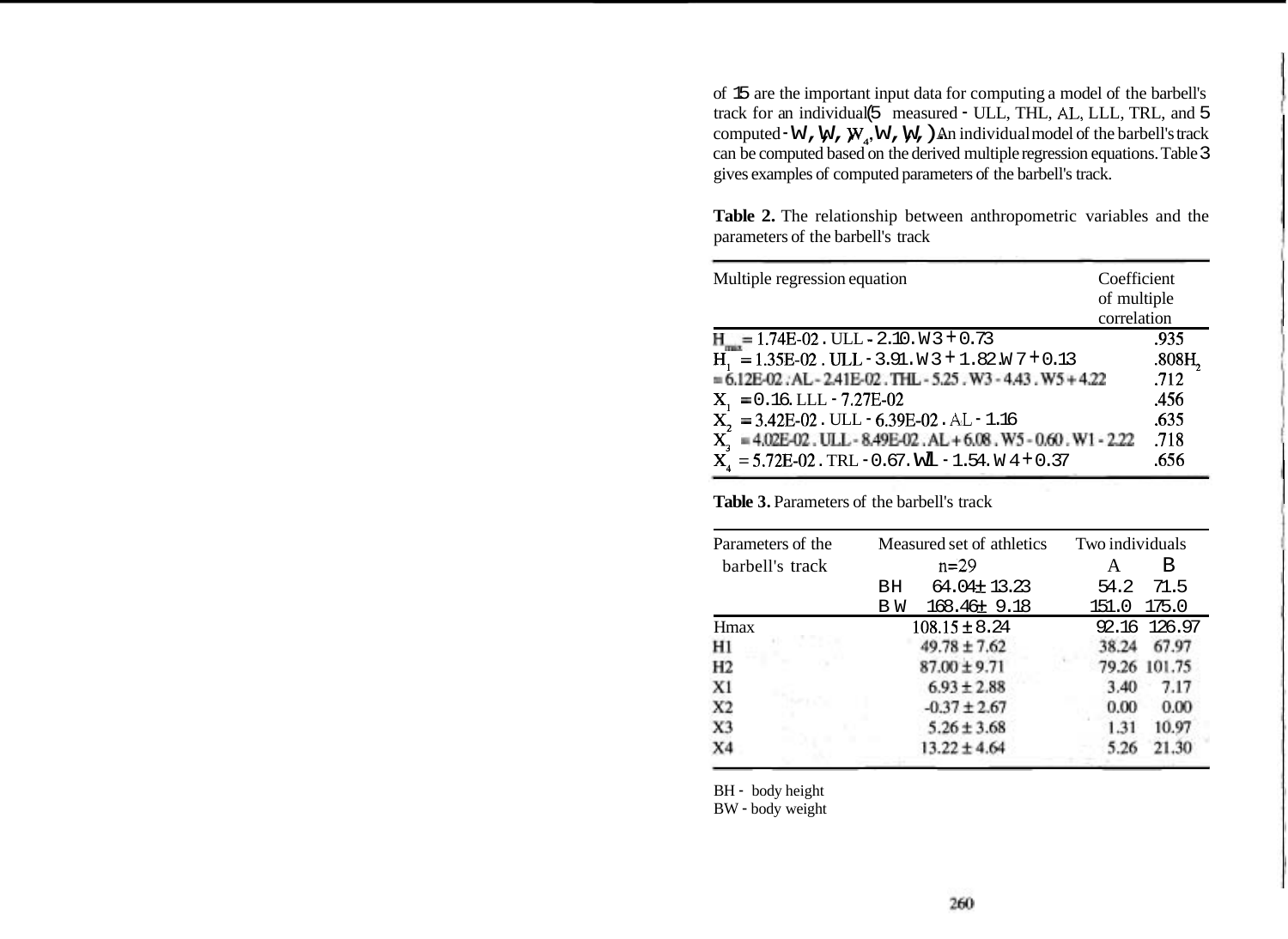of 15 are the important input data for computing a model of the barbell's track for an individual (5 measured - ULL, THL, **AL,** LLL, TRL, and 5 computed  $\cdot$  W, W, W, W, W, ). An individual model of the barbell's track can be computed based on the derived multiple regression equations. Table 3 gives examples of computed parameters of the barbell's track.

**Table 2.** The relationship between anthropometric variables and the parameters of the barbell's track

| Multiple regression equation                                                                            | Coefficient<br>of multiple |
|---------------------------------------------------------------------------------------------------------|----------------------------|
|                                                                                                         | correlation                |
| $H = 1.74E-02$ . ULL - 2.10. W 3 + 0.73                                                                 | .935                       |
| $H_1 = 1.35E-02$ . ULL - 3.91. W 3 + 1.82. W 7 + 0.13                                                   | .808H,                     |
| $= 6.12E-02$ : AL-2.41E-02. THL-5.25. W3-4.43. W5+4.22                                                  | .712                       |
| $X_1 = 0.16$ . LLL - 7.27E-02                                                                           | .456                       |
| $X_2 = 3.42E - 02$ . ULL $-6.39E - 02$ . AL $-1.16$                                                     | .635                       |
| $\mathbf{X}^{\!\top}_3 = 4.02\mathrm{E}\text{-}02$ . ULL - 8.49E-02 . AL + 6.08 . W5 - 0.60 . W1 - 2.22 | .718                       |
| $X_4 = 5.72E - 02$ . TRL - 0.67. WL - 1.54. W 4 + 0.37                                                  | .656                       |

**Table 3.** Parameters of the barbell's track

| Parameters of the | Measured set of athletics | Two individuals |  |
|-------------------|---------------------------|-----------------|--|
| barbell's track   | $n = 29$                  | В<br>A          |  |
|                   | 64.04±13.23<br>BН         | 71.5<br>54.2    |  |
|                   | 168.46± 9.18<br>ВW        | 175.0<br>151.0  |  |
| Hmax              | $108.15 \pm 8.24$         | 92.16 126.97    |  |
| Hl                | $49.78 \pm 7.62$          | 67.97<br>38.24  |  |
| H2                | $87.00 \pm 9.71$          | 79.26 101.75    |  |
| X1                | $6.93 \pm 2.88$           | 3.40<br>7.17    |  |
| X <sub>2</sub>    | $-0.37 \pm 2.67$          | 0.00<br>0.00    |  |
| X3                | $5.26 \pm 3.68$           | 10.97<br>1.31   |  |
| X4                | $13.22 \pm 4.64$          | 5.26            |  |

BH - body height

BW - body weight